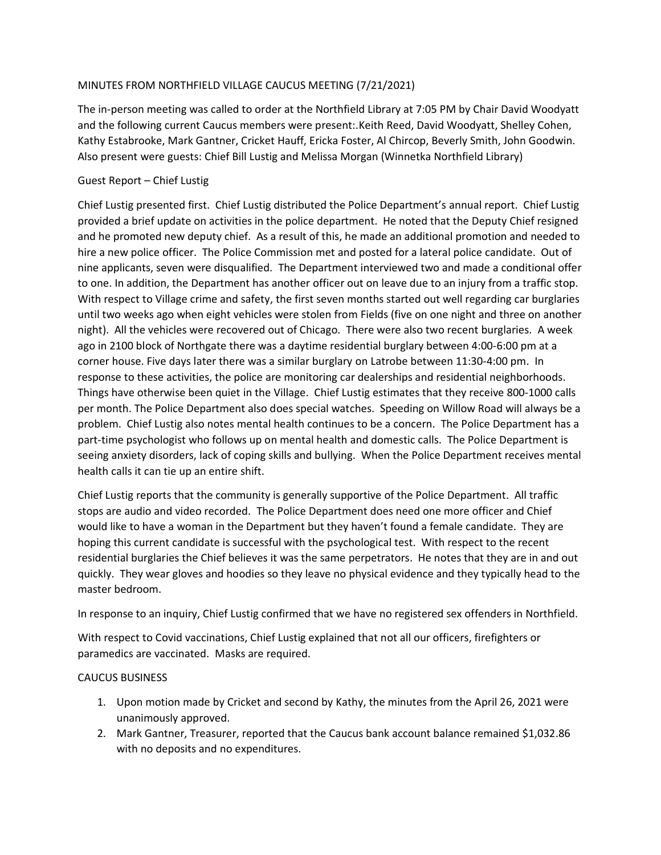## MINUTES FROM NORTHFIELD VILLAGE CAUCUS MEETING (7/21/2021)

The in-person meeting was called to order at the Northfield Library at 7:05 PM by Chair David Woodyatt and the following current Caucus members were present:.Keith Reed, David Woodyatt, Shelley Cohen, Kathy Estabrooke, Mark Gantner, Cricket Hauff, Ericka Foster, Al Chircop, Beverly Smith, John Goodwin. Also present were guests: Chief Bill Lustig and Melissa Morgan (Winnetka Northfield Library)

## Guest Report – Chief Lustig

Chief Lustig presented first. Chief Lustig distributed the Police Department's annual report. Chief Lustig provided a brief update on activities in the police department. He noted that the Deputy Chief resigned and he promoted new deputy chief. As a result of this, he made an additional promotion and needed to hire a new police officer. The Police Commission met and posted for a lateral police candidate. Out of nine applicants, seven were disqualified. The Department interviewed two and made a conditional offer to one. In addition, the Department has another officer out on leave due to an injury from a traffic stop. With respect to Village crime and safety, the first seven months started out well regarding car burglaries until two weeks ago when eight vehicles were stolen from Fields (five on one night and three on another night). All the vehicles were recovered out of Chicago. There were also two recent burglaries. A week ago in 2100 block of Northgate there was a daytime residential burglary between 4:00-6:00 pm at a corner house. Five days later there was a similar burglary on Latrobe between 11:30-4:00 pm. In response to these activities, the police are monitoring car dealerships and residential neighborhoods. Things have otherwise been quiet in the Village. Chief Lustig estimates that they receive 800-1000 calls per month. The Police Department also does special watches. Speeding on Willow Road will always be a problem. Chief Lustig also notes mental health continues to be a concern. The Police Department has a part-time psychologist who follows up on mental health and domestic calls. The Police Department is seeing anxiety disorders, lack of coping skills and bullying. When the Police Department receives mental health calls it can tie up an entire shift.

Chief Lustig reports that the community is generally supportive of the Police Department. All traffic stops are audio and video recorded. The Police Department does need one more officer and Chief would like to have a woman in the Department but they haven't found a female candidate. They are hoping this current candidate is successful with the psychological test. With respect to the recent residential burglaries the Chief believes it was the same perpetrators. He notes that they are in and out quickly. They wear gloves and hoodies so they leave no physical evidence and they typically head to the master bedroom.

In response to an inquiry, Chief Lustig confirmed that we have no registered sex offenders in Northfield.

With respect to Covid vaccinations, Chief Lustig explained that not all our officers, firefighters or paramedics are vaccinated. Masks are required.

## CAUCUS BUSINESS

- 1. Upon motion made by Cricket and second by Kathy, the minutes from the April 26, 2021 were unanimously approved.
- 2. Mark Gantner, Treasurer, reported that the Caucus bank account balance remained \$1,032.86 with no deposits and no expenditures.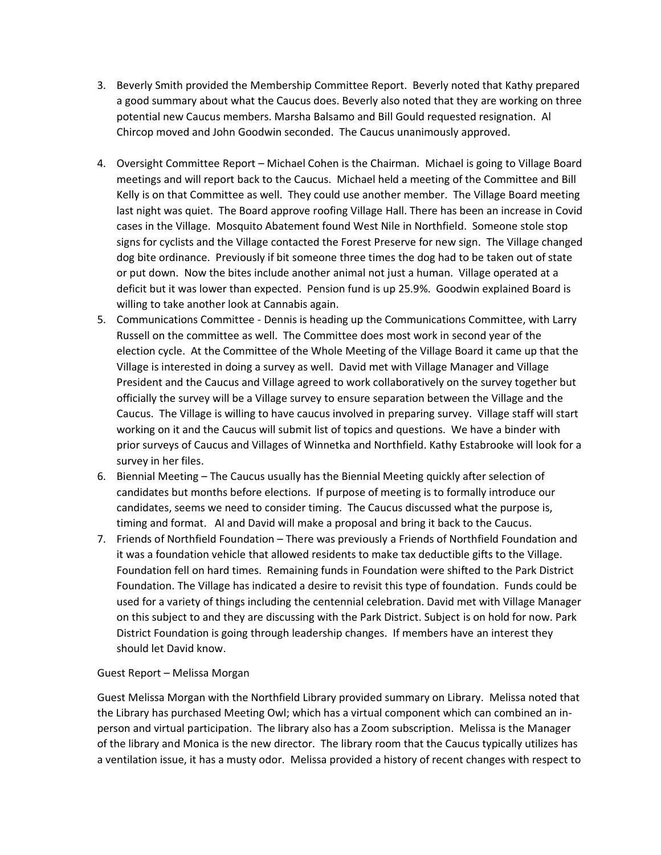- 3. Beverly Smith provided the Membership Committee Report. Beverly noted that Kathy prepared a good summary about what the Caucus does. Beverly also noted that they are working on three potential new Caucus members. Marsha Balsamo and Bill Gould requested resignation. Al Chircop moved and John Goodwin seconded. The Caucus unanimously approved.
- 4. Oversight Committee Report Michael Cohen is the Chairman. Michael is going to Village Board meetings and will report back to the Caucus. Michael held a meeting of the Committee and Bill Kelly is on that Committee as well. They could use another member. The Village Board meeting last night was quiet. The Board approve roofing Village Hall. There has been an increase in Covid cases in the Village. Mosquito Abatement found West Nile in Northfield. Someone stole stop signs for cyclists and the Village contacted the Forest Preserve for new sign. The Village changed dog bite ordinance. Previously if bit someone three times the dog had to be taken out of state or put down. Now the bites include another animal not just a human. Village operated at a deficit but it was lower than expected. Pension fund is up 25.9%. Goodwin explained Board is willing to take another look at Cannabis again.
- 5. Communications Committee Dennis is heading up the Communications Committee, with Larry Russell on the committee as well. The Committee does most work in second year of the election cycle. At the Committee of the Whole Meeting of the Village Board it came up that the Village is interested in doing a survey as well. David met with Village Manager and Village President and the Caucus and Village agreed to work collaboratively on the survey together but officially the survey will be a Village survey to ensure separation between the Village and the Caucus. The Village is willing to have caucus involved in preparing survey. Village staff will start working on it and the Caucus will submit list of topics and questions. We have a binder with prior surveys of Caucus and Villages of Winnetka and Northfield. Kathy Estabrooke will look for a survey in her files.
- 6. Biennial Meeting The Caucus usually has the Biennial Meeting quickly after selection of candidates but months before elections. If purpose of meeting is to formally introduce our candidates, seems we need to consider timing. The Caucus discussed what the purpose is, timing and format. Al and David will make a proposal and bring it back to the Caucus.
- 7. Friends of Northfield Foundation There was previously a Friends of Northfield Foundation and it was a foundation vehicle that allowed residents to make tax deductible gifts to the Village. Foundation fell on hard times. Remaining funds in Foundation were shifted to the Park District Foundation. The Village has indicated a desire to revisit this type of foundation. Funds could be used for a variety of things including the centennial celebration. David met with Village Manager on this subject to and they are discussing with the Park District. Subject is on hold for now. Park District Foundation is going through leadership changes. If members have an interest they should let David know.

## Guest Report – Melissa Morgan

Guest Melissa Morgan with the Northfield Library provided summary on Library. Melissa noted that the Library has purchased Meeting Owl; which has a virtual component which can combined an inperson and virtual participation. The library also has a Zoom subscription. Melissa is the Manager of the library and Monica is the new director. The library room that the Caucus typically utilizes has a ventilation issue, it has a musty odor. Melissa provided a history of recent changes with respect to